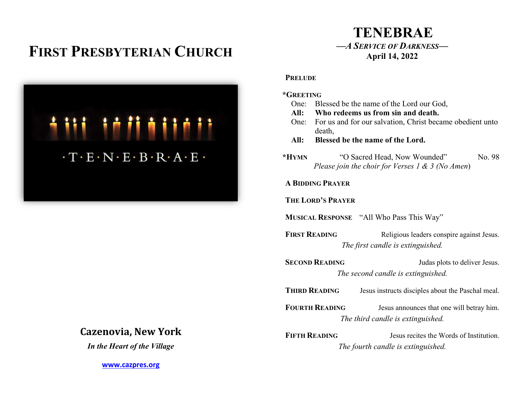# FIRST PRESBYTERIAN CHURCH



## Cazenovia, New York

In the Heart of the Village

www.cazpres.org

# TENEBRAE —A SERVICE OF DARKNESS— April 14, 2022

#### **PRELUDE**

| *GREETING                                       |                                               |                                                                                            |  |  |
|-------------------------------------------------|-----------------------------------------------|--------------------------------------------------------------------------------------------|--|--|
|                                                 | One: Blessed be the name of the Lord our God, |                                                                                            |  |  |
|                                                 | All: Who redeems us from sin and death.       |                                                                                            |  |  |
| One:                                            | death,                                        | For us and for our salvation, Christ became obedient unto                                  |  |  |
| All:                                            | Blessed be the name of the Lord.              |                                                                                            |  |  |
| $*HYMN$                                         |                                               | No. 98<br>"O Sacred Head, Now Wounded"<br>Please join the choir for Verses 1 & 3 (No Amen) |  |  |
| <b>A BIDDING PRAYER</b>                         |                                               |                                                                                            |  |  |
| <b>THE LORD'S PRAYER</b>                        |                                               |                                                                                            |  |  |
| <b>MUSICAL RESPONSE</b> "All Who Pass This Way" |                                               |                                                                                            |  |  |
| <b>FIRST READING</b>                            |                                               | Religious leaders conspire against Jesus.                                                  |  |  |
| The first candle is extinguished.               |                                               |                                                                                            |  |  |
| <b>SECOND READING</b>                           |                                               | Judas plots to deliver Jesus.                                                              |  |  |
| The second candle is extinguished.              |                                               |                                                                                            |  |  |
|                                                 |                                               |                                                                                            |  |  |
|                                                 | <b>THIRD READING</b>                          | Jesus instructs disciples about the Paschal meal.                                          |  |  |
|                                                 | <b>FOURTH READING</b>                         | Jesus announces that one will betray him.                                                  |  |  |
|                                                 |                                               | The third candle is extinguished.                                                          |  |  |
|                                                 | <b>FIFTH READING</b>                          | Jesus recites the Words of Institution.                                                    |  |  |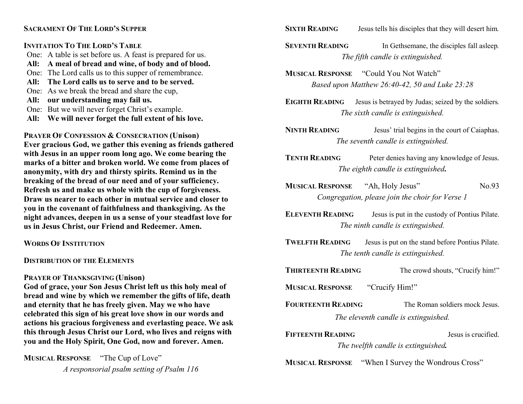#### SACRAMENT OF THE LORD'S SUPPER

#### INVITATION TO THE LORD'S TABLE

- One: A table is set before us. A feast is prepared for us.
- All: A meal of bread and wine, of body and of blood.
- One: The Lord calls us to this supper of remembrance.
- All: The Lord calls us to serve and to be served.
- One: As we break the bread and share the cup,
- All: our understanding may fail us.
- One: But we will never forget Christ's example.
- All: We will never forget the full extent of his love.

PRAYER OF CONFESSION & CONSECRATION (Unison) Ever gracious God, we gather this evening as friends gathered with Jesus in an upper room long ago. We come bearing the marks of a bitter and broken world. We come from places of anonymity, with dry and thirsty spirits. Remind us in the breaking of the bread of our need and of your sufficiency. Refresh us and make us whole with the cup of forgiveness. Draw us nearer to each other in mutual service and closer to you in the covenant of faithfulness and thanksgiving. As the night advances, deepen in us a sense of your steadfast love for us in Jesus Christ, our Friend and Redeemer. Amen.

### WORDS OF INSTITUTION

### DISTRIBUTION OF THE ELEMENTS

### PRAYER OF THANKSGIVING (Unison)

God of grace, your Son Jesus Christ left us this holy meal of bread and wine by which we remember the gifts of life, death and eternity that he has freely given. May we who have celebrated this sign of his great love show in our words and actions his gracious forgiveness and everlasting peace. We ask this through Jesus Christ our Lord, who lives and reigns with you and the Holy Spirit, One God, now and forever. Amen.

MUSICAL RESPONSE "The Cup of Love" A responsorial psalm setting of Psalm 116

- SIXTH READING Jesus tells his disciples that they will desert him.
- SEVENTH READING In Gethsemane, the disciples fall asleep. The fifth candle is extinguished.
- MUSICAL RESPONSE "Could You Not Watch" Based upon Matthew 26:40-42, 50 and Luke 23:28
- EIGHTH READING Jesus is betrayed by Judas; seized by the soldiers. The sixth candle is extinguished.
- NINTH READING Jesus' trial begins in the court of Caiaphas. The seventh candle is extinguished.
- TENTH READING Peter denies having any knowledge of Jesus. The eighth candle is extinguished.
- MUSICAL RESPONSE "Ah, Holy Jesus" No.93 Congregation, please join the choir for Verse 1
- ELEVENTH READING Jesus is put in the custody of Pontius Pilate. The ninth candle is extinguished.
- TWELFTH READING Jesus is put on the stand before Pontius Pilate. The tenth candle is extinguished.
- THIRTEENTH READING The crowd shouts, "Crucify him!"

MUSICAL RESPONSE "Crucify Him!"

- FOURTEENTH READING The Roman soldiers mock Jesus. The eleventh candle is extinguished.
- FIFTEENTH READING **FIFTEENTH** READING The twelfth candle is extinguished.

MUSICAL RESPONSE "When I Survey the Wondrous Cross"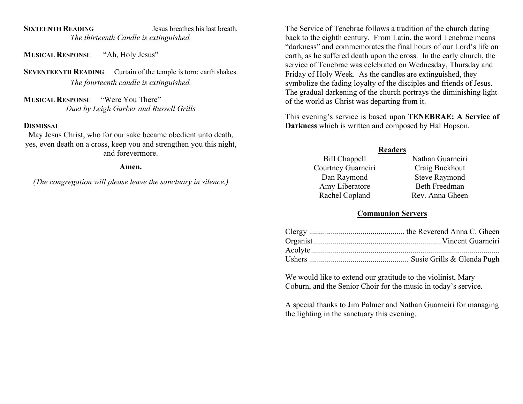SIXTEENTH READING Jesus breathes his last breath. The thirteenth Candle is extinguished.

MUSICAL RESPONSE "Ah, Holy Jesus"

SEVENTEENTH READING Curtain of the temple is torn; earth shakes. The fourteenth candle is extinguished.

MUSICAL RESPONSE "Were You There" Duet by Leigh Garber and Russell Grills

#### **DISMISSAL**

May Jesus Christ, who for our sake became obedient unto death, yes, even death on a cross, keep you and strengthen you this night, and forevermore.

#### Amen.

(The congregation will please leave the sanctuary in silence.)

The Service of Tenebrae follows a tradition of the church dating back to the eighth century. From Latin, the word Tenebrae means "darkness" and commemorates the final hours of our Lord's life on earth, as he suffered death upon the cross. In the early church, the service of Tenebrae was celebrated on Wednesday, Thursday and Friday of Holy Week. As the candles are extinguished, they symbolize the fading loyalty of the disciples and friends of Jesus. The gradual darkening of the church portrays the diminishing light of the world as Christ was departing from it.

This evening's service is based upon TENEBRAE: A Service of Darkness which is written and composed by Hal Hopson.

#### Readers

| Bill Chappell      | Nathan Guarneiri     |
|--------------------|----------------------|
| Courtney Guarneiri | Craig Buckhout       |
| Dan Raymond        | <b>Steve Raymond</b> |
| Amy Liberatore     | <b>Beth Freedman</b> |
| Rachel Copland     | Rev. Anna Gheen      |

#### Communion Servers

We would like to extend our gratitude to the violinist, Mary Coburn, and the Senior Choir for the music in today's service.

A special thanks to Jim Palmer and Nathan Guarneiri for managing the lighting in the sanctuary this evening.